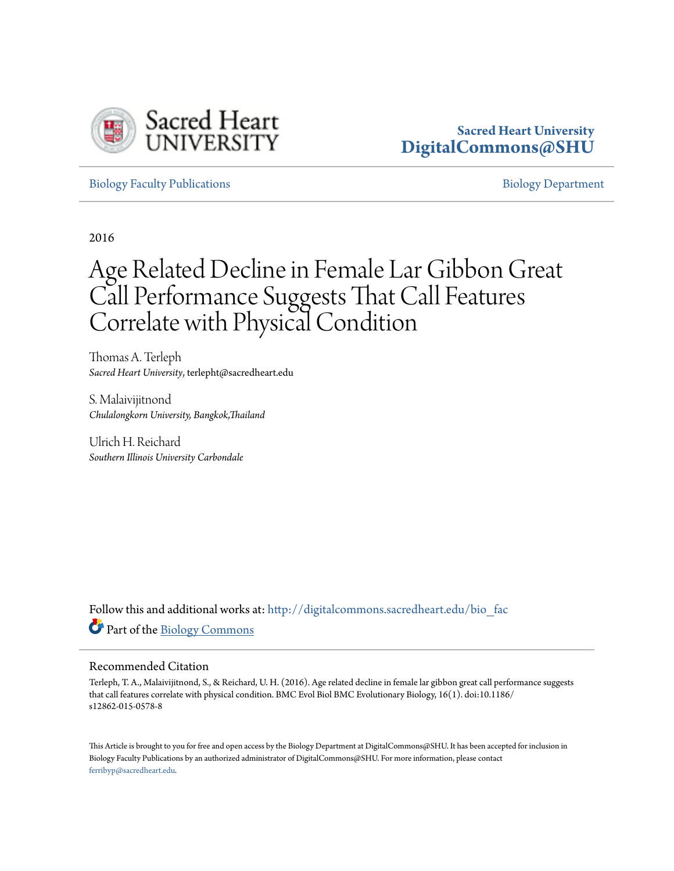

# **Sacred Heart University [DigitalCommons@SHU](http://digitalcommons.sacredheart.edu?utm_source=digitalcommons.sacredheart.edu%2Fbio_fac%2F107&utm_medium=PDF&utm_campaign=PDFCoverPages)**

[Biology Faculty Publications](http://digitalcommons.sacredheart.edu/bio_fac?utm_source=digitalcommons.sacredheart.edu%2Fbio_fac%2F107&utm_medium=PDF&utm_campaign=PDFCoverPages) and the control of the [Biology Department](http://digitalcommons.sacredheart.edu/bio?utm_source=digitalcommons.sacredheart.edu%2Fbio_fac%2F107&utm_medium=PDF&utm_campaign=PDFCoverPages) Biology Department

2016

# Age Related Decline in Female Lar Gibbon Great Call Performance Suggests That Call Features Correlate with Physical Condition

Thomas A. Terleph *Sacred Heart University*, terlepht@sacredheart.edu

S. Malaivijitnond *Chulalongkorn University, Bangkok,Thailand*

Ulrich H. Reichard *Southern Illinois University Carbondale*

Follow this and additional works at: [http://digitalcommons.sacredheart.edu/bio\\_fac](http://digitalcommons.sacredheart.edu/bio_fac?utm_source=digitalcommons.sacredheart.edu%2Fbio_fac%2F107&utm_medium=PDF&utm_campaign=PDFCoverPages) Part of the [Biology Commons](https://network.bepress.com/hgg/discipline/41?utm_source=digitalcommons.sacredheart.edu%2Fbio_fac%2F107&utm_medium=PDF&utm_campaign=PDFCoverPages)

# Recommended Citation

Terleph, T. A., Malaivijitnond, S., & Reichard, U. H. (2016). Age related decline in female lar gibbon great call performance suggests that call features correlate with physical condition. BMC Evol Biol BMC Evolutionary Biology, 16(1). doi:10.1186/ s12862-015-0578-8

This Article is brought to you for free and open access by the Biology Department at DigitalCommons@SHU. It has been accepted for inclusion in Biology Faculty Publications by an authorized administrator of DigitalCommons@SHU. For more information, please contact [ferribyp@sacredheart.edu](mailto:ferribyp@sacredheart.edu).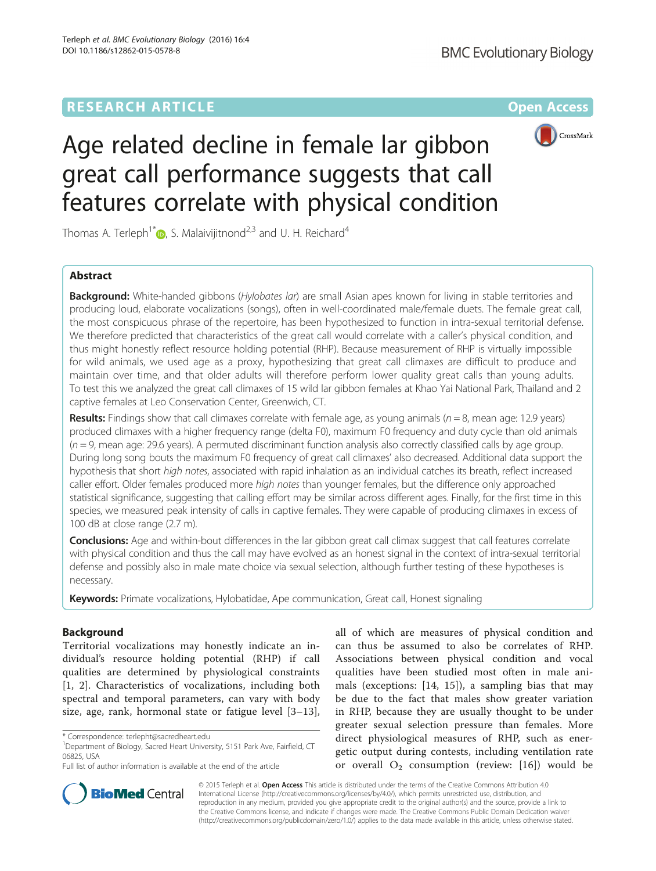# **RESEARCH ARTICLE External Structure Community Community Community Community Community Community Community Community**



# Age related decline in female lar gibbon great call performance suggests that call features correlate with physical condition

Thomas A. Terleph<sup>1\*</sup>  $\bullet$ [,](http://orcid.org/0000-0003-1559-4975) S. Malaivijitnond<sup>2,3</sup> and U. H. Reichard<sup>4</sup>

# Abstract

**Background:** White-handed gibbons (Hylobates lar) are small Asian apes known for living in stable territories and producing loud, elaborate vocalizations (songs), often in well-coordinated male/female duets. The female great call, the most conspicuous phrase of the repertoire, has been hypothesized to function in intra-sexual territorial defense. We therefore predicted that characteristics of the great call would correlate with a caller's physical condition, and thus might honestly reflect resource holding potential (RHP). Because measurement of RHP is virtually impossible for wild animals, we used age as a proxy, hypothesizing that great call climaxes are difficult to produce and maintain over time, and that older adults will therefore perform lower quality great calls than young adults. To test this we analyzed the great call climaxes of 15 wild lar gibbon females at Khao Yai National Park, Thailand and 2 captive females at Leo Conservation Center, Greenwich, CT.

**Results:** Findings show that call climaxes correlate with female age, as young animals ( $n = 8$ , mean age: 12.9 years) produced climaxes with a higher frequency range (delta F0), maximum F0 frequency and duty cycle than old animals  $(n = 9,$  mean age: 29.6 years). A permuted discriminant function analysis also correctly classified calls by age group. During long song bouts the maximum F0 frequency of great call climaxes' also decreased. Additional data support the hypothesis that short high notes, associated with rapid inhalation as an individual catches its breath, reflect increased caller effort. Older females produced more high notes than younger females, but the difference only approached statistical significance, suggesting that calling effort may be similar across different ages. Finally, for the first time in this species, we measured peak intensity of calls in captive females. They were capable of producing climaxes in excess of 100 dB at close range (2.7 m).

Conclusions: Age and within-bout differences in the lar gibbon great call climax suggest that call features correlate with physical condition and thus the call may have evolved as an honest signal in the context of intra-sexual territorial defense and possibly also in male mate choice via sexual selection, although further testing of these hypotheses is necessary.

Keywords: Primate vocalizations, Hylobatidae, Ape communication, Great call, Honest signaling

# Background

Territorial vocalizations may honestly indicate an individual's resource holding potential (RHP) if call qualities are determined by physiological constraints [[1, 2\]](#page-11-0). Characteristics of vocalizations, including both spectral and temporal parameters, can vary with body size, age, rank, hormonal state or fatigue level [[3](#page-11-0)–[13](#page-11-0)], all of which are measures of physical condition and can thus be assumed to also be correlates of RHP. Associations between physical condition and vocal qualities have been studied most often in male animals (exceptions: [[14, 15\]](#page-11-0)), a sampling bias that may be due to the fact that males show greater variation in RHP, because they are usually thought to be under greater sexual selection pressure than females. More direct physiological measures of RHP, such as energetic output during contests, including ventilation rate or overall  $O_2$  consumption (review: [[16\]](#page-11-0)) would be



© 2015 Terleph et al. Open Access This article is distributed under the terms of the Creative Commons Attribution 4.0 International License [\(http://creativecommons.org/licenses/by/4.0/](http://creativecommons.org/licenses/by/4.0/)), which permits unrestricted use, distribution, and reproduction in any medium, provided you give appropriate credit to the original author(s) and the source, provide a link to the Creative Commons license, and indicate if changes were made. The Creative Commons Public Domain Dedication waiver [\(http://creativecommons.org/publicdomain/zero/1.0/](http://creativecommons.org/publicdomain/zero/1.0/)) applies to the data made available in this article, unless otherwise stated.

<sup>\*</sup> Correspondence: [terlepht@sacredheart.edu](mailto:terlepht@sacredheart.edu) <sup>1</sup>

<sup>&</sup>lt;sup>1</sup>Department of Biology, Sacred Heart University, 5151 Park Ave, Fairfield, CT 06825, USA

Full list of author information is available at the end of the article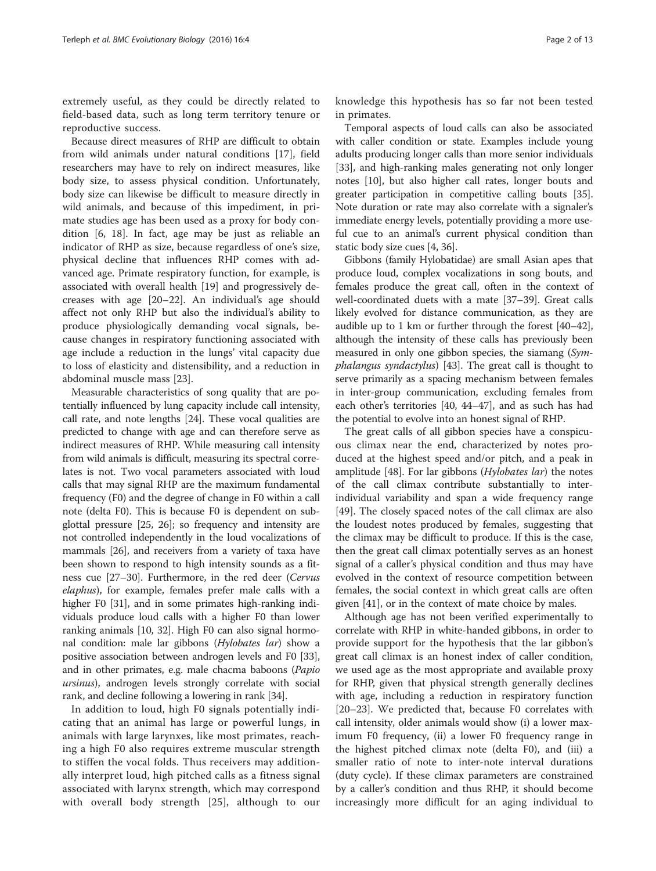extremely useful, as they could be directly related to field-based data, such as long term territory tenure or reproductive success.

Because direct measures of RHP are difficult to obtain from wild animals under natural conditions [[17\]](#page-11-0), field researchers may have to rely on indirect measures, like body size, to assess physical condition. Unfortunately, body size can likewise be difficult to measure directly in wild animals, and because of this impediment, in primate studies age has been used as a proxy for body condition [[6, 18\]](#page-11-0). In fact, age may be just as reliable an indicator of RHP as size, because regardless of one's size, physical decline that influences RHP comes with advanced age. Primate respiratory function, for example, is associated with overall health [[19\]](#page-11-0) and progressively decreases with age [[20](#page-11-0)–[22](#page-11-0)]. An individual's age should affect not only RHP but also the individual's ability to produce physiologically demanding vocal signals, because changes in respiratory functioning associated with age include a reduction in the lungs' vital capacity due to loss of elasticity and distensibility, and a reduction in abdominal muscle mass [\[23](#page-11-0)].

Measurable characteristics of song quality that are potentially influenced by lung capacity include call intensity, call rate, and note lengths [[24](#page-11-0)]. These vocal qualities are predicted to change with age and can therefore serve as indirect measures of RHP. While measuring call intensity from wild animals is difficult, measuring its spectral correlates is not. Two vocal parameters associated with loud calls that may signal RHP are the maximum fundamental frequency (F0) and the degree of change in F0 within a call note (delta F0). This is because F0 is dependent on subglottal pressure [[25](#page-11-0), [26](#page-11-0)]; so frequency and intensity are not controlled independently in the loud vocalizations of mammals [[26](#page-11-0)], and receivers from a variety of taxa have been shown to respond to high intensity sounds as a fitness cue [\[27](#page-11-0)–[30\]](#page-11-0). Furthermore, in the red deer (Cervus elaphus), for example, females prefer male calls with a higher F0 [\[31\]](#page-11-0), and in some primates high-ranking individuals produce loud calls with a higher F0 than lower ranking animals [[10](#page-11-0), [32](#page-12-0)]. High F0 can also signal hormonal condition: male lar gibbons (Hylobates lar) show a positive association between androgen levels and F0 [[33](#page-12-0)], and in other primates, e.g. male chacma baboons (Papio ursinus), androgen levels strongly correlate with social rank, and decline following a lowering in rank [\[34\]](#page-12-0).

In addition to loud, high F0 signals potentially indicating that an animal has large or powerful lungs, in animals with large larynxes, like most primates, reaching a high F0 also requires extreme muscular strength to stiffen the vocal folds. Thus receivers may additionally interpret loud, high pitched calls as a fitness signal associated with larynx strength, which may correspond with overall body strength [[25](#page-11-0)], although to our knowledge this hypothesis has so far not been tested in primates.

Temporal aspects of loud calls can also be associated with caller condition or state. Examples include young adults producing longer calls than more senior individuals [[33](#page-12-0)], and high-ranking males generating not only longer notes [\[10\]](#page-11-0), but also higher call rates, longer bouts and greater participation in competitive calling bouts [[35](#page-12-0)]. Note duration or rate may also correlate with a signaler's immediate energy levels, potentially providing a more useful cue to an animal's current physical condition than static body size cues [\[4](#page-11-0), [36](#page-12-0)].

Gibbons (family Hylobatidae) are small Asian apes that produce loud, complex vocalizations in song bouts, and females produce the great call, often in the context of well-coordinated duets with a mate [[37](#page-12-0)–[39\]](#page-12-0). Great calls likely evolved for distance communication, as they are audible up to 1 km or further through the forest [\[40](#page-12-0)–[42](#page-12-0)], although the intensity of these calls has previously been measured in only one gibbon species, the siamang (Symphalangus syndactylus) [\[43](#page-12-0)]. The great call is thought to serve primarily as a spacing mechanism between females in inter-group communication, excluding females from each other's territories [\[40](#page-12-0), [44](#page-12-0)–[47](#page-12-0)], and as such has had the potential to evolve into an honest signal of RHP.

The great calls of all gibbon species have a conspicuous climax near the end, characterized by notes produced at the highest speed and/or pitch, and a peak in amplitude [\[48\]](#page-12-0). For lar gibbons ( $Hylobates$  lar) the notes of the call climax contribute substantially to interindividual variability and span a wide frequency range [[49\]](#page-12-0). The closely spaced notes of the call climax are also the loudest notes produced by females, suggesting that the climax may be difficult to produce. If this is the case, then the great call climax potentially serves as an honest signal of a caller's physical condition and thus may have evolved in the context of resource competition between females, the social context in which great calls are often given [\[41](#page-12-0)], or in the context of mate choice by males.

Although age has not been verified experimentally to correlate with RHP in white-handed gibbons, in order to provide support for the hypothesis that the lar gibbon's great call climax is an honest index of caller condition, we used age as the most appropriate and available proxy for RHP, given that physical strength generally declines with age, including a reduction in respiratory function [[20](#page-11-0)–[23](#page-11-0)]. We predicted that, because F0 correlates with call intensity, older animals would show (i) a lower maximum F0 frequency, (ii) a lower F0 frequency range in the highest pitched climax note (delta F0), and (iii) a smaller ratio of note to inter-note interval durations (duty cycle). If these climax parameters are constrained by a caller's condition and thus RHP, it should become increasingly more difficult for an aging individual to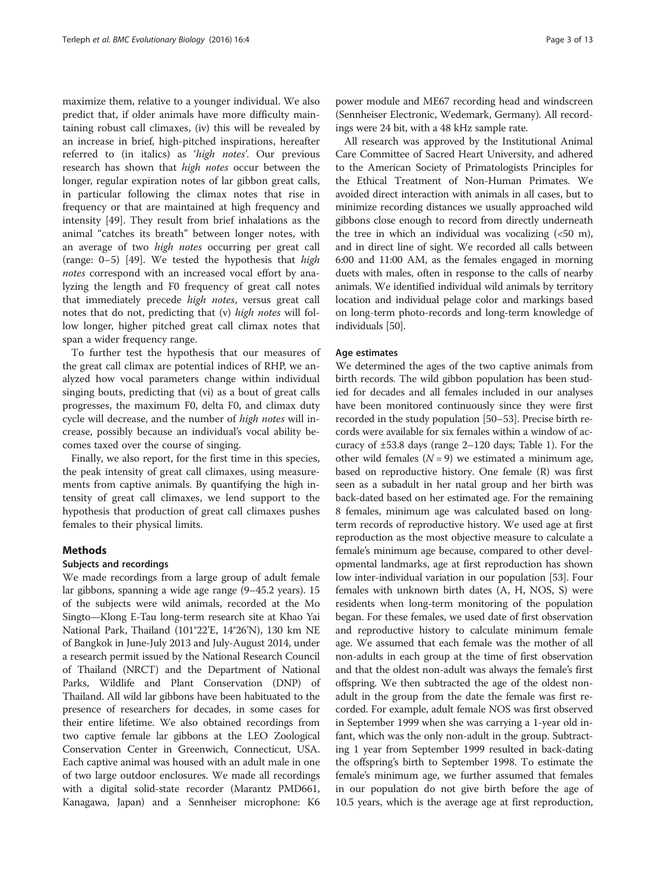maximize them, relative to a younger individual. We also predict that, if older animals have more difficulty maintaining robust call climaxes, (iv) this will be revealed by an increase in brief, high-pitched inspirations, hereafter referred to (in italics) as 'high notes'. Our previous research has shown that high notes occur between the longer, regular expiration notes of lar gibbon great calls, in particular following the climax notes that rise in frequency or that are maintained at high frequency and intensity [[49\]](#page-12-0). They result from brief inhalations as the animal "catches its breath" between longer notes, with an average of two high notes occurring per great call (range:  $0-5$ ) [[49\]](#page-12-0). We tested the hypothesis that *high* notes correspond with an increased vocal effort by analyzing the length and F0 frequency of great call notes that immediately precede high notes, versus great call notes that do not, predicting that (v) high notes will follow longer, higher pitched great call climax notes that span a wider frequency range.

To further test the hypothesis that our measures of the great call climax are potential indices of RHP, we analyzed how vocal parameters change within individual singing bouts, predicting that (vi) as a bout of great calls progresses, the maximum F0, delta F0, and climax duty cycle will decrease, and the number of high notes will increase, possibly because an individual's vocal ability becomes taxed over the course of singing.

Finally, we also report, for the first time in this species, the peak intensity of great call climaxes, using measurements from captive animals. By quantifying the high intensity of great call climaxes, we lend support to the hypothesis that production of great call climaxes pushes females to their physical limits.

### Methods

# Subjects and recordings

We made recordings from a large group of adult female lar gibbons, spanning a wide age range (9–45.2 years). 15 of the subjects were wild animals, recorded at the Mo Singto—Klong E-Tau long-term research site at Khao Yai National Park, Thailand (101°22'E, 14°26'N), 130 km NE of Bangkok in June-July 2013 and July-August 2014, under a research permit issued by the National Research Council of Thailand (NRCT) and the Department of National Parks, Wildlife and Plant Conservation (DNP) of Thailand. All wild lar gibbons have been habituated to the presence of researchers for decades, in some cases for their entire lifetime. We also obtained recordings from two captive female lar gibbons at the LEO Zoological Conservation Center in Greenwich, Connecticut, USA. Each captive animal was housed with an adult male in one of two large outdoor enclosures. We made all recordings with a digital solid-state recorder (Marantz PMD661, Kanagawa, Japan) and a Sennheiser microphone: K6

power module and ME67 recording head and windscreen (Sennheiser Electronic, Wedemark, Germany). All recordings were 24 bit, with a 48 kHz sample rate.

All research was approved by the Institutional Animal Care Committee of Sacred Heart University, and adhered to the American Society of Primatologists Principles for the Ethical Treatment of Non-Human Primates. We avoided direct interaction with animals in all cases, but to minimize recording distances we usually approached wild gibbons close enough to record from directly underneath the tree in which an individual was vocalizing  $( $50 \, \text{m}$ ),$ and in direct line of sight. We recorded all calls between 6:00 and 11:00 AM, as the females engaged in morning duets with males, often in response to the calls of nearby animals. We identified individual wild animals by territory location and individual pelage color and markings based on long-term photo-records and long-term knowledge of individuals [[50](#page-12-0)].

#### Age estimates

We determined the ages of the two captive animals from birth records. The wild gibbon population has been studied for decades and all females included in our analyses have been monitored continuously since they were first recorded in the study population [\[50](#page-12-0)–[53\]](#page-12-0). Precise birth records were available for six females within a window of accuracy of ±53.8 days (range 2–120 days; Table [1\)](#page-4-0). For the other wild females  $(N = 9)$  we estimated a minimum age, based on reproductive history. One female (R) was first seen as a subadult in her natal group and her birth was back-dated based on her estimated age. For the remaining 8 females, minimum age was calculated based on longterm records of reproductive history. We used age at first reproduction as the most objective measure to calculate a female's minimum age because, compared to other developmental landmarks, age at first reproduction has shown low inter-individual variation in our population [[53](#page-12-0)]. Four females with unknown birth dates (A, H, NOS, S) were residents when long-term monitoring of the population began. For these females, we used date of first observation and reproductive history to calculate minimum female age. We assumed that each female was the mother of all non-adults in each group at the time of first observation and that the oldest non-adult was always the female's first offspring. We then subtracted the age of the oldest nonadult in the group from the date the female was first recorded. For example, adult female NOS was first observed in September 1999 when she was carrying a 1-year old infant, which was the only non-adult in the group. Subtracting 1 year from September 1999 resulted in back-dating the offspring's birth to September 1998. To estimate the female's minimum age, we further assumed that females in our population do not give birth before the age of 10.5 years, which is the average age at first reproduction,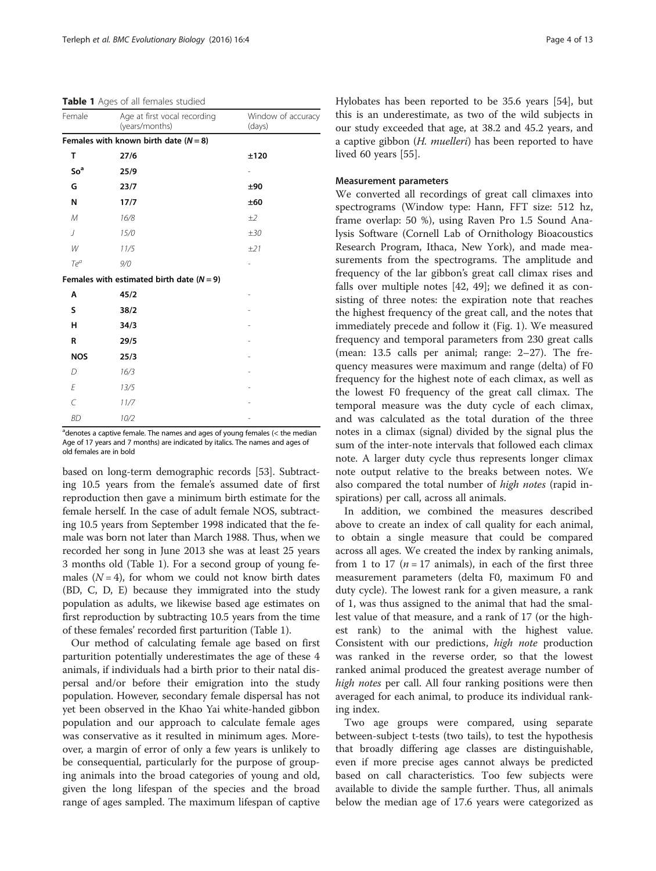<span id="page-4-0"></span>Table 1 Ages of all females studied

| Female          | Age at first vocal recording<br>(years/months) | Window of accuracy<br>(days) |
|-----------------|------------------------------------------------|------------------------------|
|                 | Females with known birth date ( $N = 8$ )      |                              |
| т               | 27/6                                           | ±120                         |
| So <sup>a</sup> | 25/9                                           |                              |
| G               | 23/7                                           | ±90                          |
| N               | 17/7                                           | ±60                          |
| M               | 16/8                                           | ±2                           |
| J               | 15/0                                           | ±30                          |
| W               | 11/5                                           | ±21                          |
| $Te^a$          | 9/0                                            |                              |
|                 | Females with estimated birth date ( $N = 9$ )  |                              |
| A               | 45/2                                           |                              |
| S               | 38/2                                           |                              |
| н               | 34/3                                           |                              |
| R               | 29/5                                           |                              |
| <b>NOS</b>      | 25/3                                           |                              |
| D               | 16/3                                           |                              |
| E               | 13/5                                           |                              |
| C               | 11/7                                           |                              |
| <b>BD</b>       | 10/2                                           |                              |

 $^{\text{a}}$ denotes a captive female. The names and ages of young females ( $<$  the median Age of 17 years and 7 months) are indicated by italics. The names and ages of old females are in bold

based on long-term demographic records [[53](#page-12-0)]. Subtracting 10.5 years from the female's assumed date of first reproduction then gave a minimum birth estimate for the female herself. In the case of adult female NOS, subtracting 10.5 years from September 1998 indicated that the female was born not later than March 1988. Thus, when we recorded her song in June 2013 she was at least 25 years 3 months old (Table 1). For a second group of young females  $(N = 4)$ , for whom we could not know birth dates (BD, C, D, E) because they immigrated into the study population as adults, we likewise based age estimates on first reproduction by subtracting 10.5 years from the time of these females' recorded first parturition (Table 1).

Our method of calculating female age based on first parturition potentially underestimates the age of these 4 animals, if individuals had a birth prior to their natal dispersal and/or before their emigration into the study population. However, secondary female dispersal has not yet been observed in the Khao Yai white-handed gibbon population and our approach to calculate female ages was conservative as it resulted in minimum ages. Moreover, a margin of error of only a few years is unlikely to be consequential, particularly for the purpose of grouping animals into the broad categories of young and old, given the long lifespan of the species and the broad range of ages sampled. The maximum lifespan of captive Hylobates has been reported to be 35.6 years [[54](#page-12-0)], but this is an underestimate, as two of the wild subjects in our study exceeded that age, at 38.2 and 45.2 years, and a captive gibbon (H. muelleri) has been reported to have lived 60 years [\[55](#page-12-0)].

### Measurement parameters

We converted all recordings of great call climaxes into spectrograms (Window type: Hann, FFT size: 512 hz, frame overlap: 50 %), using Raven Pro 1.5 Sound Analysis Software (Cornell Lab of Ornithology Bioacoustics Research Program, Ithaca, New York), and made measurements from the spectrograms. The amplitude and frequency of the lar gibbon's great call climax rises and falls over multiple notes [[42](#page-12-0), [49](#page-12-0)]; we defined it as consisting of three notes: the expiration note that reaches the highest frequency of the great call, and the notes that immediately precede and follow it (Fig. [1](#page-5-0)). We measured frequency and temporal parameters from 230 great calls (mean: 13.5 calls per animal; range: 2–27). The frequency measures were maximum and range (delta) of F0 frequency for the highest note of each climax, as well as the lowest F0 frequency of the great call climax. The temporal measure was the duty cycle of each climax, and was calculated as the total duration of the three notes in a climax (signal) divided by the signal plus the sum of the inter-note intervals that followed each climax note. A larger duty cycle thus represents longer climax note output relative to the breaks between notes. We also compared the total number of high notes (rapid inspirations) per call, across all animals.

In addition, we combined the measures described above to create an index of call quality for each animal, to obtain a single measure that could be compared across all ages. We created the index by ranking animals, from 1 to 17 ( $n = 17$  animals), in each of the first three measurement parameters (delta F0, maximum F0 and duty cycle). The lowest rank for a given measure, a rank of 1, was thus assigned to the animal that had the smallest value of that measure, and a rank of 17 (or the highest rank) to the animal with the highest value. Consistent with our predictions, high note production was ranked in the reverse order, so that the lowest ranked animal produced the greatest average number of high notes per call. All four ranking positions were then averaged for each animal, to produce its individual ranking index.

Two age groups were compared, using separate between-subject t-tests (two tails), to test the hypothesis that broadly differing age classes are distinguishable, even if more precise ages cannot always be predicted based on call characteristics. Too few subjects were available to divide the sample further. Thus, all animals below the median age of 17.6 years were categorized as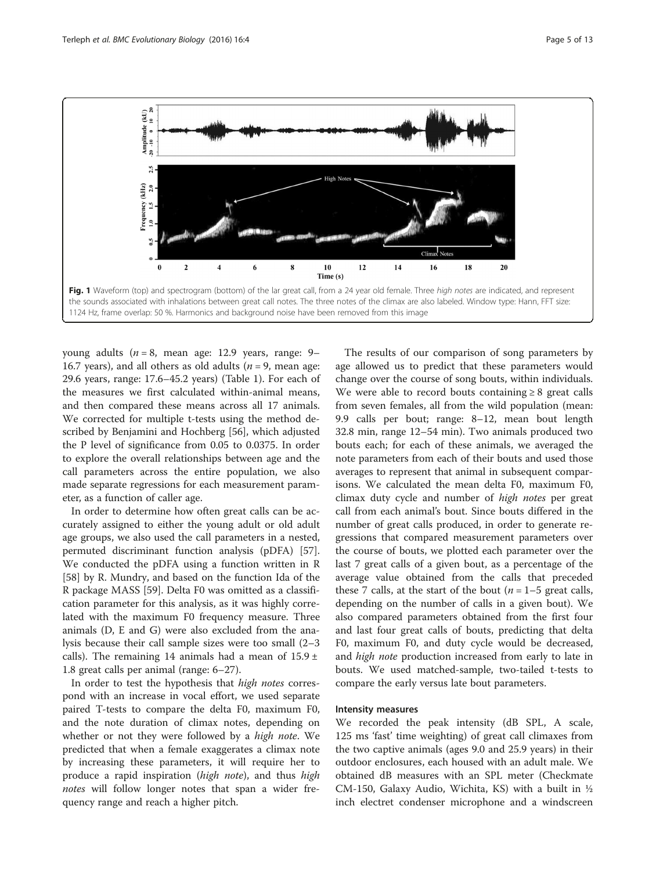<span id="page-5-0"></span>

young adults ( $n = 8$ , mean age: 12.9 years, range: 9– 16.7 years), and all others as old adults ( $n = 9$ , mean age: 29.6 years, range: 17.6–45.2 years) (Table [1\)](#page-4-0). For each of the measures we first calculated within-animal means, and then compared these means across all 17 animals. We corrected for multiple t-tests using the method described by Benjamini and Hochberg [[56\]](#page-12-0), which adjusted the P level of significance from 0.05 to 0.0375. In order to explore the overall relationships between age and the call parameters across the entire population, we also made separate regressions for each measurement parameter, as a function of caller age.

In order to determine how often great calls can be accurately assigned to either the young adult or old adult age groups, we also used the call parameters in a nested, permuted discriminant function analysis (pDFA) [\[57](#page-12-0)]. We conducted the pDFA using a function written in R [[58\]](#page-12-0) by R. Mundry, and based on the function Ida of the R package MASS [\[59](#page-12-0)]. Delta F0 was omitted as a classification parameter for this analysis, as it was highly correlated with the maximum F0 frequency measure. Three animals (D, E and G) were also excluded from the analysis because their call sample sizes were too small (2–3 calls). The remaining 14 animals had a mean of  $15.9 \pm$ 1.8 great calls per animal (range: 6–27).

In order to test the hypothesis that high notes correspond with an increase in vocal effort, we used separate paired T-tests to compare the delta F0, maximum F0, and the note duration of climax notes, depending on whether or not they were followed by a high note. We predicted that when a female exaggerates a climax note by increasing these parameters, it will require her to produce a rapid inspiration (high note), and thus high notes will follow longer notes that span a wider frequency range and reach a higher pitch.

The results of our comparison of song parameters by age allowed us to predict that these parameters would change over the course of song bouts, within individuals. We were able to record bouts containing  $\geq 8$  great calls from seven females, all from the wild population (mean: 9.9 calls per bout; range: 8–12, mean bout length 32.8 min, range 12–54 min). Two animals produced two bouts each; for each of these animals, we averaged the note parameters from each of their bouts and used those averages to represent that animal in subsequent comparisons. We calculated the mean delta F0, maximum F0, climax duty cycle and number of high notes per great call from each animal's bout. Since bouts differed in the number of great calls produced, in order to generate regressions that compared measurement parameters over the course of bouts, we plotted each parameter over the last 7 great calls of a given bout, as a percentage of the average value obtained from the calls that preceded these 7 calls, at the start of the bout  $(n = 1-5$  great calls, depending on the number of calls in a given bout). We also compared parameters obtained from the first four and last four great calls of bouts, predicting that delta F0, maximum F0, and duty cycle would be decreased, and *high note* production increased from early to late in bouts. We used matched-sample, two-tailed t-tests to compare the early versus late bout parameters.

### Intensity measures

We recorded the peak intensity (dB SPL, A scale, 125 ms 'fast' time weighting) of great call climaxes from the two captive animals (ages 9.0 and 25.9 years) in their outdoor enclosures, each housed with an adult male. We obtained dB measures with an SPL meter (Checkmate CM-150, Galaxy Audio, Wichita, KS) with a built in  $\frac{1}{2}$ inch electret condenser microphone and a windscreen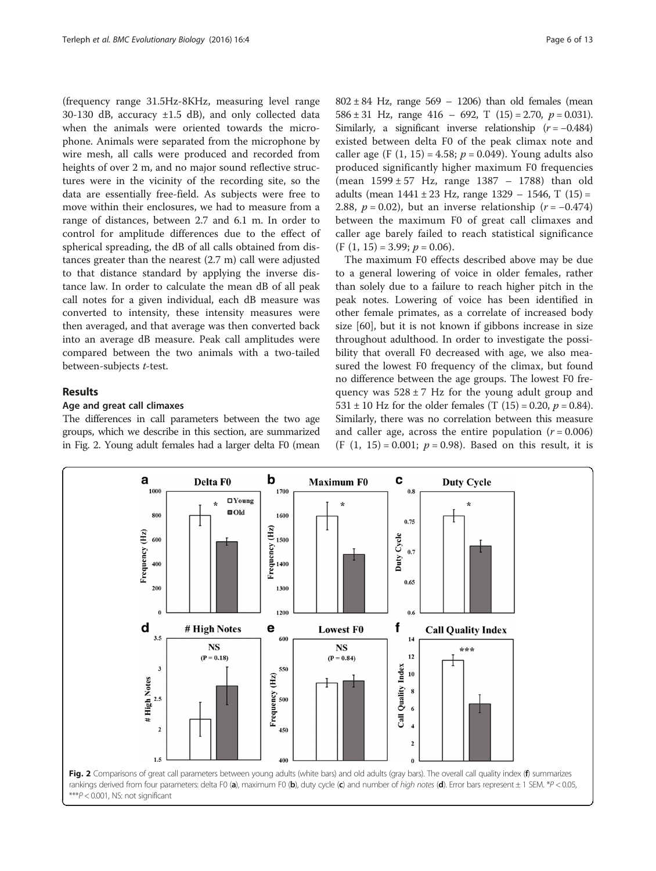(frequency range 31.5Hz-8KHz, measuring level range 30-130 dB, accuracy ±1.5 dB), and only collected data when the animals were oriented towards the microphone. Animals were separated from the microphone by wire mesh, all calls were produced and recorded from heights of over 2 m, and no major sound reflective structures were in the vicinity of the recording site, so the data are essentially free-field. As subjects were free to move within their enclosures, we had to measure from a range of distances, between 2.7 and 6.1 m. In order to control for amplitude differences due to the effect of spherical spreading, the dB of all calls obtained from distances greater than the nearest (2.7 m) call were adjusted to that distance standard by applying the inverse distance law. In order to calculate the mean dB of all peak call notes for a given individual, each dB measure was converted to intensity, these intensity measures were then averaged, and that average was then converted back into an average dB measure. Peak call amplitudes were compared between the two animals with a two-tailed between-subjects t-test.

## Results

## Age and great call climaxes

The differences in call parameters between the two age groups, which we describe in this section, are summarized in Fig. 2. Young adult females had a larger delta F0 (mean  $802 \pm 84$  Hz, range 569 – 1206) than old females (mean 586  $\pm$  31 Hz, range 416 – 692, T (15) = 2.70,  $p = 0.031$ ). Similarly, a significant inverse relationship  $(r = -0.484)$ existed between delta F0 of the peak climax note and caller age (F  $(1, 15) = 4.58$ ;  $p = 0.049$ ). Young adults also produced significantly higher maximum F0 frequencies (mean  $1599 \pm 57$  Hz, range  $1387 - 1788$ ) than old adults (mean  $1441 \pm 23$  Hz, range  $1329 - 1546$ , T  $(15) =$ 2.88,  $p = 0.02$ ), but an inverse relationship ( $r = -0.474$ ) between the maximum F0 of great call climaxes and caller age barely failed to reach statistical significance  $(F (1, 15) = 3.99; p = 0.06).$ 

The maximum F0 effects described above may be due to a general lowering of voice in older females, rather than solely due to a failure to reach higher pitch in the peak notes. Lowering of voice has been identified in other female primates, as a correlate of increased body size [[60](#page-12-0)], but it is not known if gibbons increase in size throughout adulthood. In order to investigate the possibility that overall F0 decreased with age, we also measured the lowest F0 frequency of the climax, but found no difference between the age groups. The lowest F0 frequency was  $528 \pm 7$  Hz for the young adult group and 531 ± 10 Hz for the older females (T  $(15) = 0.20$ ,  $p = 0.84$ ). Similarly, there was no correlation between this measure and caller age, across the entire population  $(r = 0.006)$  $(F (1, 15) = 0.001; p = 0.98)$ . Based on this result, it is

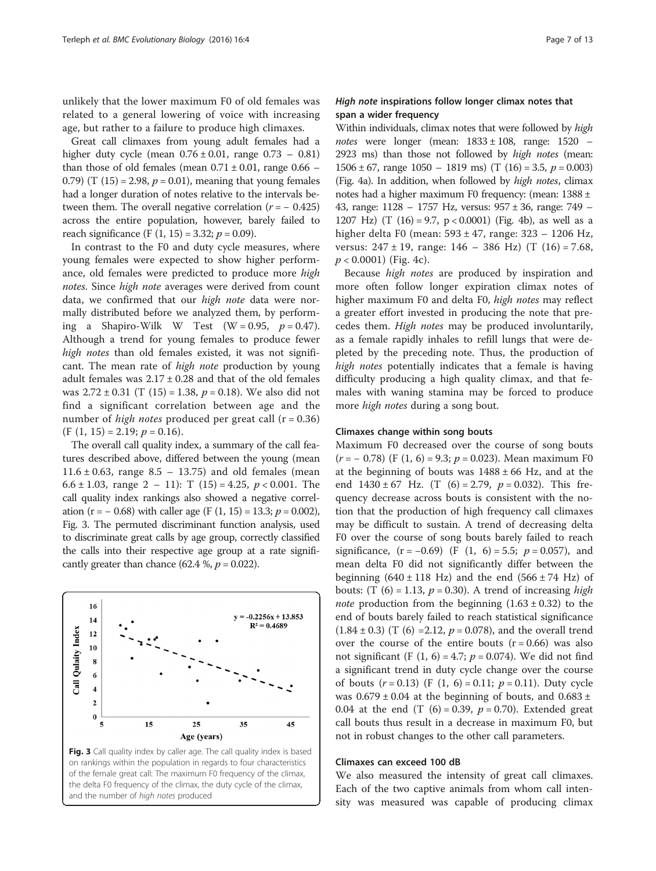unlikely that the lower maximum F0 of old females was related to a general lowering of voice with increasing age, but rather to a failure to produce high climaxes.

Great call climaxes from young adult females had a higher duty cycle (mean  $0.76 \pm 0.01$ , range  $0.73 - 0.81$ ) than those of old females (mean  $0.71 \pm 0.01$ , range  $0.66$  – 0.79) (T (15) = 2.98,  $p = 0.01$ ), meaning that young females had a longer duration of notes relative to the intervals between them. The overall negative correlation  $(r = -0.425)$ across the entire population, however, barely failed to reach significance (F  $(1, 15) = 3.32; p = 0.09$ ).

In contrast to the F0 and duty cycle measures, where young females were expected to show higher performance, old females were predicted to produce more high notes. Since high note averages were derived from count data, we confirmed that our high note data were normally distributed before we analyzed them, by performing a Shapiro-Wilk W Test  $(W = 0.95, p = 0.47)$ . Although a trend for young females to produce fewer high notes than old females existed, it was not significant. The mean rate of high note production by young adult females was  $2.17 \pm 0.28$  and that of the old females was  $2.72 \pm 0.31$  (T (15) = 1.38,  $p = 0.18$ ). We also did not find a significant correlation between age and the number of *high notes* produced per great call  $(r = 0.36)$  $(F (1, 15) = 2.19; p = 0.16).$ 

The overall call quality index, a summary of the call features described above, differed between the young (mean  $11.6 \pm 0.63$ , range  $8.5 - 13.75$ ) and old females (mean 6.6  $\pm$  1.03, range 2 – 11): T (15) = 4.25, p < 0.001. The call quality index rankings also showed a negative correlation (r =  $-$  0.68) with caller age (F (1, 15) = 13.3; p = 0.002), Fig. 3. The permuted discriminant function analysis, used to discriminate great calls by age group, correctly classified the calls into their respective age group at a rate significantly greater than chance (62.4 %,  $p = 0.022$ ).



on rankings within the population in regards to four characteristics of the female great call: The maximum F0 frequency of the climax, the delta F0 frequency of the climax, the duty cycle of the climax, and the number of high notes produced

# High note inspirations follow longer climax notes that span a wider frequency

Within individuals, climax notes that were followed by high *notes* were longer (mean:  $1833 \pm 108$ , range:  $1520 -$ 2923 ms) than those not followed by high notes (mean:  $1506 \pm 67$ , range  $1050 - 1819$  ms)  $(T (16) = 3.5, p = 0.003)$ (Fig. [4a](#page-8-0)). In addition, when followed by high notes, climax notes had a higher maximum F0 frequency: (mean: 1388 ± 43, range: 1128 – 1757 Hz, versus: 957 ± 36, range: 749 – 1207 Hz) (T  $(16) = 9.7$ ,  $p < 0.0001$ ) (Fig. [4b\)](#page-8-0), as well as a higher delta F0 (mean: 593 ± 47, range: 323 – 1206 Hz, versus:  $247 \pm 19$ , range:  $146 - 386$  Hz) (T  $(16) = 7.68$ ,  $p < 0.0001$ ) (Fig. [4c\)](#page-8-0).

Because high notes are produced by inspiration and more often follow longer expiration climax notes of higher maximum F0 and delta F0, high notes may reflect a greater effort invested in producing the note that precedes them. High notes may be produced involuntarily, as a female rapidly inhales to refill lungs that were depleted by the preceding note. Thus, the production of high notes potentially indicates that a female is having difficulty producing a high quality climax, and that females with waning stamina may be forced to produce more *high notes* during a song bout.

#### Climaxes change within song bouts

Maximum F0 decreased over the course of song bouts  $(r = -0.78)$  (F (1, 6) = 9.3; p = 0.023). Mean maximum F0 at the beginning of bouts was  $1488 \pm 66$  Hz, and at the end  $1430 \pm 67$  Hz. (T  $(6) = 2.79$ ,  $p = 0.032$ ). This frequency decrease across bouts is consistent with the notion that the production of high frequency call climaxes may be difficult to sustain. A trend of decreasing delta F0 over the course of song bouts barely failed to reach significance,  $(r = -0.69)$  (F  $(1, 6) = 5.5; p = 0.057$ ), and mean delta F0 did not significantly differ between the beginning  $(640 \pm 118 \text{ Hz})$  and the end  $(566 \pm 74 \text{ Hz})$  of bouts: (T (6) = 1.13,  $p = 0.30$ ). A trend of increasing high *note* production from the beginning  $(1.63 \pm 0.32)$  to the end of bouts barely failed to reach statistical significance  $(1.84 \pm 0.3)$  (T  $(6) = 2.12$ ,  $p = 0.078$ ), and the overall trend over the course of the entire bouts  $(r = 0.66)$  was also not significant (F  $(1, 6) = 4.7$ ;  $p = 0.074$ ). We did not find a significant trend in duty cycle change over the course of bouts  $(r = 0.13)$  (F  $(1, 6) = 0.11$ ;  $p = 0.11$ ). Duty cycle was  $0.679 \pm 0.04$  at the beginning of bouts, and  $0.683 \pm 0.04$ 0.04 at the end (T  $(6) = 0.39$ ,  $p = 0.70$ ). Extended great call bouts thus result in a decrease in maximum F0, but not in robust changes to the other call parameters.

#### Climaxes can exceed 100 dB

We also measured the intensity of great call climaxes. Each of the two captive animals from whom call intensity was measured was capable of producing climax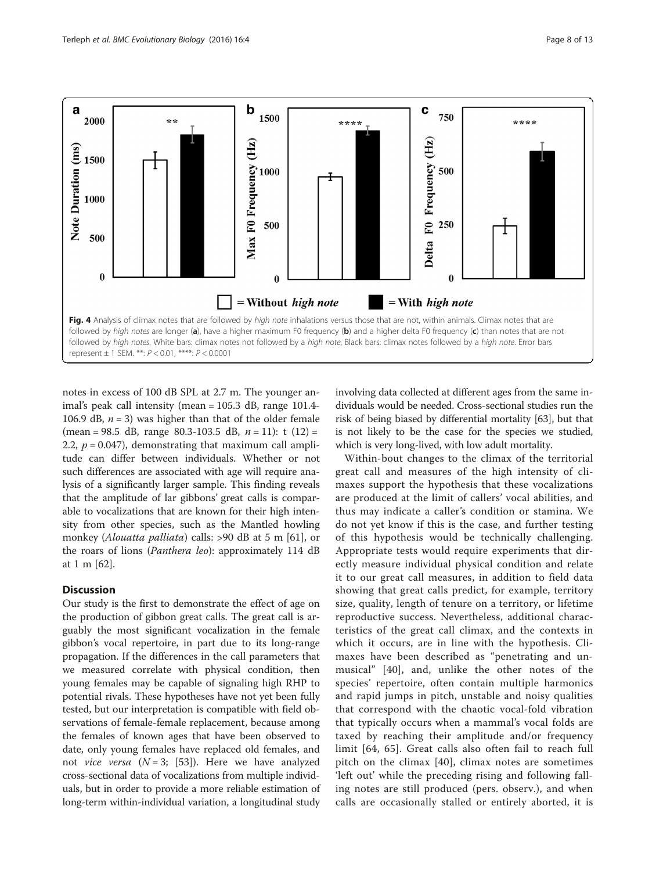<span id="page-8-0"></span>

notes in excess of 100 dB SPL at 2.7 m. The younger animal's peak call intensity (mean = 105.3 dB, range 101.4- 106.9 dB,  $n = 3$ ) was higher than that of the older female (mean = 98.5 dB, range 80.3-103.5 dB,  $n = 11$ ): t (12) = 2.2,  $p = 0.047$ ), demonstrating that maximum call amplitude can differ between individuals. Whether or not such differences are associated with age will require analysis of a significantly larger sample. This finding reveals that the amplitude of lar gibbons' great calls is comparable to vocalizations that are known for their high intensity from other species, such as the Mantled howling monkey (*Alouatta palliata*) calls: >90 dB at 5 m [\[61](#page-12-0)], or the roars of lions (*Panthera leo*): approximately 114 dB at 1 m [\[62](#page-12-0)].

# Discussion

Our study is the first to demonstrate the effect of age on the production of gibbon great calls. The great call is arguably the most significant vocalization in the female gibbon's vocal repertoire, in part due to its long-range propagation. If the differences in the call parameters that we measured correlate with physical condition, then young females may be capable of signaling high RHP to potential rivals. These hypotheses have not yet been fully tested, but our interpretation is compatible with field observations of female-female replacement, because among the females of known ages that have been observed to date, only young females have replaced old females, and not *vice versa*  $(N = 3; [53])$  $(N = 3; [53])$  $(N = 3; [53])$ . Here we have analyzed cross-sectional data of vocalizations from multiple individuals, but in order to provide a more reliable estimation of long-term within-individual variation, a longitudinal study involving data collected at different ages from the same individuals would be needed. Cross-sectional studies run the risk of being biased by differential mortality [\[63\]](#page-12-0), but that is not likely to be the case for the species we studied, which is very long-lived, with low adult mortality.

Within-bout changes to the climax of the territorial great call and measures of the high intensity of climaxes support the hypothesis that these vocalizations are produced at the limit of callers' vocal abilities, and thus may indicate a caller's condition or stamina. We do not yet know if this is the case, and further testing of this hypothesis would be technically challenging. Appropriate tests would require experiments that directly measure individual physical condition and relate it to our great call measures, in addition to field data showing that great calls predict, for example, territory size, quality, length of tenure on a territory, or lifetime reproductive success. Nevertheless, additional characteristics of the great call climax, and the contexts in which it occurs, are in line with the hypothesis. Climaxes have been described as "penetrating and unmusical" [[40](#page-12-0)], and, unlike the other notes of the species' repertoire, often contain multiple harmonics and rapid jumps in pitch, unstable and noisy qualities that correspond with the chaotic vocal-fold vibration that typically occurs when a mammal's vocal folds are taxed by reaching their amplitude and/or frequency limit [\[64](#page-12-0), [65](#page-12-0)]. Great calls also often fail to reach full pitch on the climax [[40](#page-12-0)], climax notes are sometimes 'left out' while the preceding rising and following falling notes are still produced (pers. observ.), and when calls are occasionally stalled or entirely aborted, it is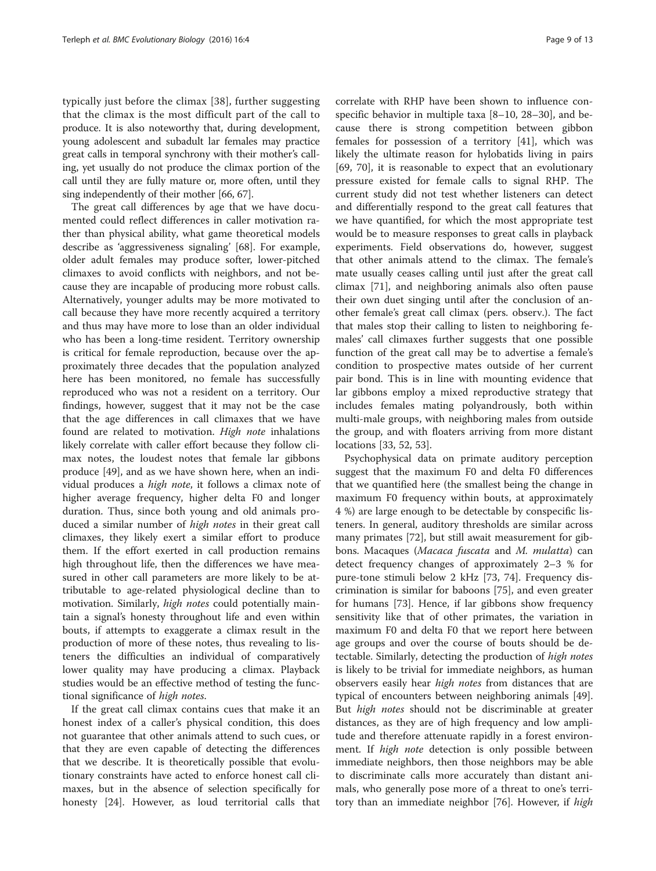typically just before the climax [[38\]](#page-12-0), further suggesting that the climax is the most difficult part of the call to produce. It is also noteworthy that, during development, young adolescent and subadult lar females may practice great calls in temporal synchrony with their mother's calling, yet usually do not produce the climax portion of the call until they are fully mature or, more often, until they sing independently of their mother [\[66, 67](#page-12-0)].

The great call differences by age that we have documented could reflect differences in caller motivation rather than physical ability, what game theoretical models describe as 'aggressiveness signaling' [[68\]](#page-12-0). For example, older adult females may produce softer, lower-pitched climaxes to avoid conflicts with neighbors, and not because they are incapable of producing more robust calls. Alternatively, younger adults may be more motivated to call because they have more recently acquired a territory and thus may have more to lose than an older individual who has been a long-time resident. Territory ownership is critical for female reproduction, because over the approximately three decades that the population analyzed here has been monitored, no female has successfully reproduced who was not a resident on a territory. Our findings, however, suggest that it may not be the case that the age differences in call climaxes that we have found are related to motivation. High note inhalations likely correlate with caller effort because they follow climax notes, the loudest notes that female lar gibbons produce [\[49](#page-12-0)], and as we have shown here, when an individual produces a high note, it follows a climax note of higher average frequency, higher delta F0 and longer duration. Thus, since both young and old animals produced a similar number of high notes in their great call climaxes, they likely exert a similar effort to produce them. If the effort exerted in call production remains high throughout life, then the differences we have measured in other call parameters are more likely to be attributable to age-related physiological decline than to motivation. Similarly, high notes could potentially maintain a signal's honesty throughout life and even within bouts, if attempts to exaggerate a climax result in the production of more of these notes, thus revealing to listeners the difficulties an individual of comparatively lower quality may have producing a climax. Playback studies would be an effective method of testing the functional significance of high notes.

If the great call climax contains cues that make it an honest index of a caller's physical condition, this does not guarantee that other animals attend to such cues, or that they are even capable of detecting the differences that we describe. It is theoretically possible that evolutionary constraints have acted to enforce honest call climaxes, but in the absence of selection specifically for honesty [\[24\]](#page-11-0). However, as loud territorial calls that

correlate with RHP have been shown to influence conspecific behavior in multiple taxa [\[8](#page-11-0)–[10](#page-11-0), [28](#page-11-0)–[30\]](#page-11-0), and because there is strong competition between gibbon females for possession of a territory [[41\]](#page-12-0), which was likely the ultimate reason for hylobatids living in pairs [[69, 70\]](#page-12-0), it is reasonable to expect that an evolutionary pressure existed for female calls to signal RHP. The current study did not test whether listeners can detect and differentially respond to the great call features that we have quantified, for which the most appropriate test would be to measure responses to great calls in playback experiments. Field observations do, however, suggest that other animals attend to the climax. The female's mate usually ceases calling until just after the great call climax [[71](#page-12-0)], and neighboring animals also often pause their own duet singing until after the conclusion of another female's great call climax (pers. observ.). The fact that males stop their calling to listen to neighboring females' call climaxes further suggests that one possible function of the great call may be to advertise a female's condition to prospective mates outside of her current pair bond. This is in line with mounting evidence that lar gibbons employ a mixed reproductive strategy that includes females mating polyandrously, both within multi-male groups, with neighboring males from outside the group, and with floaters arriving from more distant locations [\[33](#page-12-0), [52](#page-12-0), [53\]](#page-12-0).

Psychophysical data on primate auditory perception suggest that the maximum F0 and delta F0 differences that we quantified here (the smallest being the change in maximum F0 frequency within bouts, at approximately 4 %) are large enough to be detectable by conspecific listeners. In general, auditory thresholds are similar across many primates [[72\]](#page-12-0), but still await measurement for gibbons. Macaques (Macaca fuscata and M. mulatta) can detect frequency changes of approximately 2–3 % for pure-tone stimuli below 2 kHz [[73, 74\]](#page-12-0). Frequency discrimination is similar for baboons [\[75](#page-12-0)], and even greater for humans [[73](#page-12-0)]. Hence, if lar gibbons show frequency sensitivity like that of other primates, the variation in maximum F0 and delta F0 that we report here between age groups and over the course of bouts should be detectable. Similarly, detecting the production of high notes is likely to be trivial for immediate neighbors, as human observers easily hear high notes from distances that are typical of encounters between neighboring animals [\[49](#page-12-0)]. But *high notes* should not be discriminable at greater distances, as they are of high frequency and low amplitude and therefore attenuate rapidly in a forest environment. If high note detection is only possible between immediate neighbors, then those neighbors may be able to discriminate calls more accurately than distant animals, who generally pose more of a threat to one's territory than an immediate neighbor [[76\]](#page-12-0). However, if high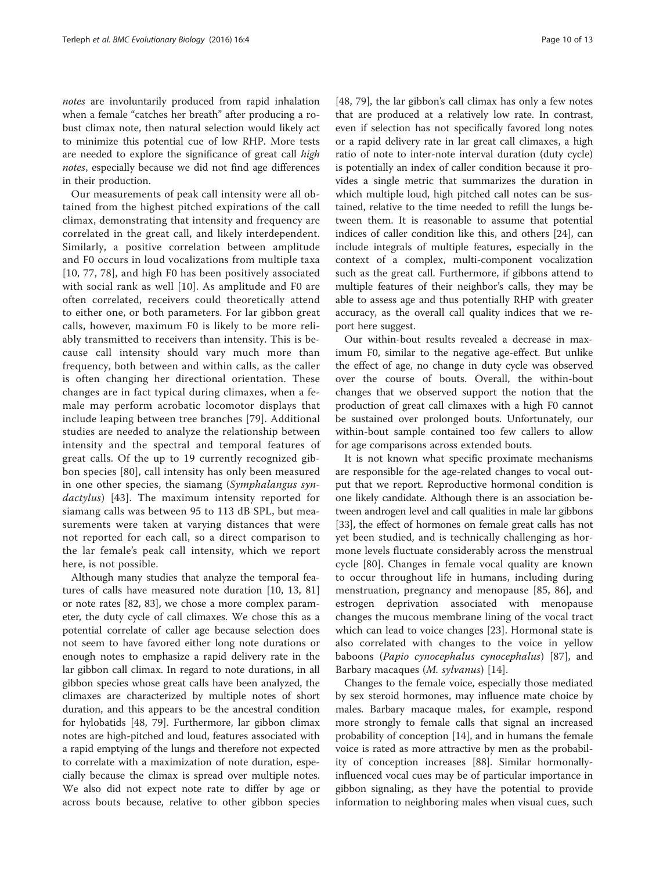notes are involuntarily produced from rapid inhalation when a female "catches her breath" after producing a robust climax note, then natural selection would likely act to minimize this potential cue of low RHP. More tests are needed to explore the significance of great call high notes, especially because we did not find age differences in their production.

Our measurements of peak call intensity were all obtained from the highest pitched expirations of the call climax, demonstrating that intensity and frequency are correlated in the great call, and likely interdependent. Similarly, a positive correlation between amplitude and F0 occurs in loud vocalizations from multiple taxa [[10](#page-11-0), [77, 78](#page-12-0)], and high F0 has been positively associated with social rank as well [[10\]](#page-11-0). As amplitude and F0 are often correlated, receivers could theoretically attend to either one, or both parameters. For lar gibbon great calls, however, maximum F0 is likely to be more reliably transmitted to receivers than intensity. This is because call intensity should vary much more than frequency, both between and within calls, as the caller is often changing her directional orientation. These changes are in fact typical during climaxes, when a female may perform acrobatic locomotor displays that include leaping between tree branches [[79\]](#page-12-0). Additional studies are needed to analyze the relationship between intensity and the spectral and temporal features of great calls. Of the up to 19 currently recognized gibbon species [\[80](#page-12-0)], call intensity has only been measured in one other species, the siamang (Symphalangus syn-dactylus) [[43](#page-12-0)]. The maximum intensity reported for siamang calls was between 95 to 113 dB SPL, but measurements were taken at varying distances that were not reported for each call, so a direct comparison to the lar female's peak call intensity, which we report here, is not possible.

Although many studies that analyze the temporal features of calls have measured note duration [\[10](#page-11-0), [13](#page-11-0), [81](#page-12-0)] or note rates [\[82, 83](#page-12-0)], we chose a more complex parameter, the duty cycle of call climaxes. We chose this as a potential correlate of caller age because selection does not seem to have favored either long note durations or enough notes to emphasize a rapid delivery rate in the lar gibbon call climax. In regard to note durations, in all gibbon species whose great calls have been analyzed, the climaxes are characterized by multiple notes of short duration, and this appears to be the ancestral condition for hylobatids [[48, 79\]](#page-12-0). Furthermore, lar gibbon climax notes are high-pitched and loud, features associated with a rapid emptying of the lungs and therefore not expected to correlate with a maximization of note duration, especially because the climax is spread over multiple notes. We also did not expect note rate to differ by age or across bouts because, relative to other gibbon species

[[48, 79\]](#page-12-0), the lar gibbon's call climax has only a few notes that are produced at a relatively low rate. In contrast, even if selection has not specifically favored long notes or a rapid delivery rate in lar great call climaxes, a high ratio of note to inter-note interval duration (duty cycle) is potentially an index of caller condition because it provides a single metric that summarizes the duration in which multiple loud, high pitched call notes can be sustained, relative to the time needed to refill the lungs between them. It is reasonable to assume that potential indices of caller condition like this, and others [[24\]](#page-11-0), can include integrals of multiple features, especially in the context of a complex, multi-component vocalization such as the great call. Furthermore, if gibbons attend to multiple features of their neighbor's calls, they may be able to assess age and thus potentially RHP with greater accuracy, as the overall call quality indices that we report here suggest.

Our within-bout results revealed a decrease in maximum F0, similar to the negative age-effect. But unlike the effect of age, no change in duty cycle was observed over the course of bouts. Overall, the within-bout changes that we observed support the notion that the production of great call climaxes with a high F0 cannot be sustained over prolonged bouts. Unfortunately, our within-bout sample contained too few callers to allow for age comparisons across extended bouts.

It is not known what specific proximate mechanisms are responsible for the age-related changes to vocal output that we report. Reproductive hormonal condition is one likely candidate. Although there is an association between androgen level and call qualities in male lar gibbons [[33](#page-12-0)], the effect of hormones on female great calls has not yet been studied, and is technically challenging as hormone levels fluctuate considerably across the menstrual cycle [[80\]](#page-12-0). Changes in female vocal quality are known to occur throughout life in humans, including during menstruation, pregnancy and menopause [[85,](#page-12-0) [86\]](#page-13-0), and estrogen deprivation associated with menopause changes the mucous membrane lining of the vocal tract which can lead to voice changes [\[23](#page-11-0)]. Hormonal state is also correlated with changes to the voice in yellow baboons (Papio cynocephalus cynocephalus) [[87\]](#page-13-0), and Barbary macaques (M. sylvanus) [[14](#page-11-0)].

Changes to the female voice, especially those mediated by sex steroid hormones, may influence mate choice by males. Barbary macaque males, for example, respond more strongly to female calls that signal an increased probability of conception [[14\]](#page-11-0), and in humans the female voice is rated as more attractive by men as the probability of conception increases [\[88\]](#page-13-0). Similar hormonallyinfluenced vocal cues may be of particular importance in gibbon signaling, as they have the potential to provide information to neighboring males when visual cues, such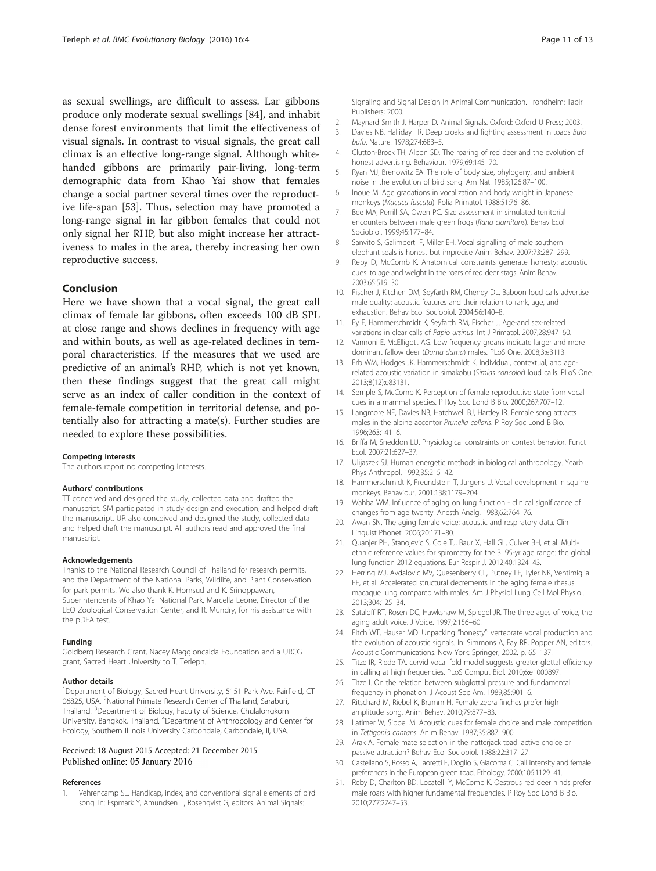<span id="page-11-0"></span>as sexual swellings, are difficult to assess. Lar gibbons produce only moderate sexual swellings [[84\]](#page-12-0), and inhabit dense forest environments that limit the effectiveness of visual signals. In contrast to visual signals, the great call climax is an effective long-range signal. Although whitehanded gibbons are primarily pair-living, long-term demographic data from Khao Yai show that females change a social partner several times over the reproductive life-span [[53](#page-12-0)]. Thus, selection may have promoted a long-range signal in lar gibbon females that could not only signal her RHP, but also might increase her attractiveness to males in the area, thereby increasing her own reproductive success.

# Conclusion

Here we have shown that a vocal signal, the great call climax of female lar gibbons, often exceeds 100 dB SPL at close range and shows declines in frequency with age and within bouts, as well as age-related declines in temporal characteristics. If the measures that we used are predictive of an animal's RHP, which is not yet known, then these findings suggest that the great call might serve as an index of caller condition in the context of female-female competition in territorial defense, and potentially also for attracting a mate(s). Further studies are needed to explore these possibilities.

#### Competing interests

The authors report no competing interests.

#### Authors' contributions

TT conceived and designed the study, collected data and drafted the manuscript. SM participated in study design and execution, and helped draft the manuscript. UR also conceived and designed the study, collected data and helped draft the manuscript. All authors read and approved the final manuscript.

#### Acknowledgements

Thanks to the National Research Council of Thailand for research permits, and the Department of the National Parks, Wildlife, and Plant Conservation for park permits. We also thank K. Homsud and K. Srinoppawan, Superintendents of Khao Yai National Park, Marcella Leone, Director of the LEO Zoological Conservation Center, and R. Mundry, for his assistance with the pDFA test.

#### Funding

Goldberg Research Grant, Nacey Maggioncalda Foundation and a URCG grant, Sacred Heart University to T. Terleph.

#### Author details

<sup>1</sup>Department of Biology, Sacred Heart University, 5151 Park Ave, Fairfield, CT 06825, USA. <sup>2</sup>National Primate Research Center of Thailand, Saraburi, Thailand. <sup>3</sup>Department of Biology, Faculty of Science, Chulalongkorn University, Bangkok, Thailand. <sup>4</sup> Department of Anthropology and Center for Ecology, Southern Illinois University Carbondale, Carbondale, Il, USA.

#### Received: 18 August 2015 Accepted: 21 December 2015 Published online: 05 January 2016

#### References

1. Vehrencamp SL. Handicap, index, and conventional signal elements of bird song. In: Espmark Y, Amundsen T, Rosenqvist G, editors. Animal Signals:

Signaling and Signal Design in Animal Communication. Trondheim: Tapir Publishers; 2000.

- 2. Maynard Smith J, Harper D, Animal Signals, Oxford: Oxford U Press: 2003.
- 3. Davies NB, Halliday TR. Deep croaks and fighting assessment in toads Bufo bufo. Nature. 1978;274:683–5.
- 4. Clutton-Brock TH, Albon SD. The roaring of red deer and the evolution of honest advertising. Behaviour. 1979;69:145–70.
- 5. Ryan MJ, Brenowitz EA. The role of body size, phylogeny, and ambient noise in the evolution of bird song. Am Nat. 1985;126:87–100.
- 6. Inoue M. Age gradations in vocalization and body weight in Japanese monkeys (Macaca fuscata). Folia Primatol. 1988;51:76–86.
- 7. Bee MA, Perrill SA, Owen PC. Size assessment in simulated territorial encounters between male green frogs (Rana clamitans). Behav Ecol Sociobiol. 1999;45:177–84.
- 8. Sanvito S, Galimberti F, Miller EH. Vocal signalling of male southern elephant seals is honest but imprecise Anim Behav. 2007;73:287–299.
- 9. Reby D, McComb K. Anatomical constraints generate honesty: acoustic cues to age and weight in the roars of red deer stags. Anim Behav. 2003;65:519–30.
- 10. Fischer J, Kitchen DM, Seyfarth RM, Cheney DL. Baboon loud calls advertise male quality: acoustic features and their relation to rank, age, and exhaustion. Behav Ecol Sociobiol. 2004;56:140–8.
- 11. Ey E, Hammerschmidt K, Seyfarth RM, Fischer J. Age-and sex-related variations in clear calls of Papio ursinus. Int J Primatol. 2007;28:947–60.
- 12. Vannoni E, McElligott AG. Low frequency groans indicate larger and more dominant fallow deer (Dama dama) males. PLoS One. 2008;3:e3113.
- 13. Erb WM, Hodges JK, Hammerschmidt K, Individual, contextual, and agerelated acoustic variation in simakobu (Simias concolor) loud calls. PLoS One. 2013;8(12):e83131.
- 14. Semple S, McComb K. Perception of female reproductive state from vocal cues in a mammal species. P Roy Soc Lond B Bio. 2000;267:707–12.
- 15. Langmore NE, Davies NB, Hatchwell BJ, Hartley IR. Female song attracts males in the alpine accentor Prunella collaris. P Roy Soc Lond B Bio. 1996;263:141–6.
- 16. Briffa M, Sneddon LU. Physiological constraints on contest behavior. Funct Ecol. 2007;21:627–37.
- 17. Ulijaszek SJ. Human energetic methods in biological anthropology. Yearb Phys Anthropol. 1992;35:215–42.
- 18. Hammerschmidt K, Freundstein T, Jurgens U. Vocal development in squirrel monkeys. Behaviour. 2001;138:1179–204.
- 19. Wahba WM. Influence of aging on lung function clinical significance of changes from age twenty. Anesth Analg. 1983;62:764–76.
- 20. Awan SN. The aging female voice: acoustic and respiratory data. Clin Linguist Phonet. 2006;20:171–80.
- 21. Quanjer PH, Stanojevic S, Cole TJ, Baur X, Hall GL, Culver BH, et al. Multiethnic reference values for spirometry for the 3–95-yr age range: the global lung function 2012 equations. Eur Respir J. 2012;40:1324–43.
- 22. Herring MJ, Avdalovic MV, Quesenberry CL, Putney LF, Tyler NK, Ventimiglia FF, et al. Accelerated structural decrements in the aging female rhesus macaque lung compared with males. Am J Physiol Lung Cell Mol Physiol. 2013;304:125–34.
- 23. Sataloff RT, Rosen DC, Hawkshaw M, Spiegel JR. The three ages of voice, the aging adult voice. J Voice. 1997;2:156–60.
- 24. Fitch WT, Hauser MD. Unpacking "honesty": vertebrate vocal production and the evolution of acoustic signals. In: Simmons A, Fay RR, Popper AN, editors. Acoustic Communications. New York: Springer; 2002. p. 65–137.
- 25. Titze IR, Riede TA. cervid vocal fold model suggests greater glottal efficiency in calling at high frequencies. PLoS Comput Biol. 2010;6:e1000897.
- 26. Titze I. On the relation between subglottal pressure and fundamental frequency in phonation. J Acoust Soc Am. 1989;85:901–6.
- Ritschard M, Riebel K, Brumm H. Female zebra finches prefer high amplitude song. Anim Behav. 2010;79:877–83.
- 28. Latimer W, Sippel M. Acoustic cues for female choice and male competition in Tettigonia cantans. Anim Behav. 1987;35:887–900.
- 29. Arak A. Female mate selection in the natterjack toad: active choice or passive attraction? Behav Ecol Sociobiol. 1988;22:317–27.
- 30. Castellano S, Rosso A, Laoretti F, Doglio S, Giacoma C. Call intensity and female preferences in the European green toad. Ethology. 2000;106:1129–41.
- 31. Reby D, Charlton BD, Locatelli Y, McComb K. Oestrous red deer hinds prefer male roars with higher fundamental frequencies. P Roy Soc Lond B Bio. 2010;277:2747–53.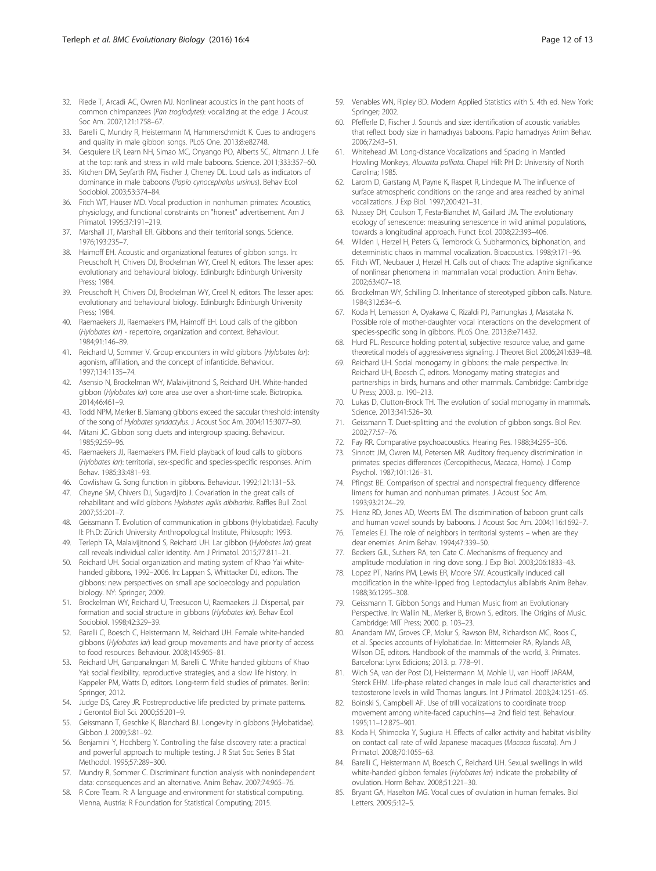- <span id="page-12-0"></span>32. Riede T, Arcadi AC, Owren MJ. Nonlinear acoustics in the pant hoots of common chimpanzees (Pan troglodytes): vocalizing at the edge. J Acoust Soc Am. 2007;121:1758–67.
- 33. Barelli C, Mundry R, Heistermann M, Hammerschmidt K. Cues to androgens and quality in male gibbon songs. PLoS One. 2013;8:e82748.
- 34. Gesquiere LR, Learn NH, Simao MC, Onyango PO, Alberts SC, Altmann J. Life at the top: rank and stress in wild male baboons. Science. 2011;333:357–60.
- 35. Kitchen DM, Seyfarth RM, Fischer J, Cheney DL. Loud calls as indicators of dominance in male baboons (Papio cynocephalus ursinus). Behav Ecol Sociobiol. 2003;53:374–84.
- 36. Fitch WT, Hauser MD. Vocal production in nonhuman primates: Acoustics, physiology, and functional constraints on "honest" advertisement. Am J Primatol. 1995;37:191–219.
- 37. Marshall JT, Marshall ER. Gibbons and their territorial songs. Science. 1976;193:235–7.
- 38. Haimoff EH. Acoustic and organizational features of gibbon songs. In: Preuschoft H, Chivers DJ, Brockelman WY, Creel N, editors. The lesser apes: evolutionary and behavioural biology. Edinburgh: Edinburgh University Press; 1984.
- 39. Preuschoft H, Chivers DJ, Brockelman WY, Creel N, editors. The lesser apes: evolutionary and behavioural biology. Edinburgh: Edinburgh University Press; 1984.
- 40. Raemaekers JJ, Raemaekers PM, Haimoff EH. Loud calls of the gibbon (Hylobates lar) - repertoire, organization and context. Behaviour. 1984;91:146–89.
- 41. Reichard U, Sommer V. Group encounters in wild gibbons (Hylobates lar): agonism, affiliation, and the concept of infanticide. Behaviour. 1997;134:1135–74.
- 42. Asensio N, Brockelman WY, Malaivijitnond S, Reichard UH. White-handed gibbon (Hylobates lar) core area use over a short-time scale. Biotropica. 2014;46:461–9.
- 43. Todd NPM, Merker B. Siamang gibbons exceed the saccular threshold: intensity of the song of Hylobates syndactylus. J Acoust Soc Am. 2004;115:3077–80.
- 44. Mitani JC. Gibbon song duets and intergroup spacing. Behaviour. 1985;92:59–96.
- 45. Raemaekers JJ, Raemaekers PM. Field playback of loud calls to gibbons (Hylobates lar): territorial, sex-specific and species-specific responses. Anim Behav. 1985;33:481–93.
- 46. Cowlishaw G. Song function in gibbons. Behaviour. 1992;121:131–53.
- 47. Cheyne SM, Chivers DJ, Sugardjito J. Covariation in the great calls of rehabilitant and wild gibbons Hylobates agilis albibarbis. Raffles Bull Zool. 2007;55:201–7.
- 48. Geissmann T. Evolution of communication in gibbons (Hylobatidae). Faculty II: Ph.D: Zürich University Anthropological Institute, Philosoph; 1993.
- 49. Terleph TA, Malaivijitnond S, Reichard UH. Lar gibbon (Hylobates lar) great call reveals individual caller identity. Am J Primatol. 2015;77:811–21.
- 50. Reichard UH. Social organization and mating system of Khao Yai whitehanded gibbons, 1992–2006. In: Lappan S, Whittacker DJ, editors. The gibbons: new perspectives on small ape socioecology and population biology. NY: Springer; 2009.
- 51. Brockelman WY, Reichard U, Treesucon U, Raemaekers JJ. Dispersal, pair formation and social structure in gibbons (Hylobates lar). Behav Ecol Sociobiol. 1998;42:329–39.
- 52. Barelli C, Boesch C, Heistermann M, Reichard UH. Female white-handed gibbons (Hylobates lar) lead group movements and have priority of access to food resources. Behaviour. 2008;145:965–81.
- 53. Reichard UH, Ganpanakngan M, Barelli C. White handed gibbons of Khao Yai: social flexibility, reproductive strategies, and a slow life history. In: Kappeler PM, Watts D, editors. Long-term field studies of primates. Berlin: Springer; 2012.
- 54. Judge DS, Carey JR. Postreproductive life predicted by primate patterns. J Gerontol Biol Sci. 2000;55:201–9.
- 55. Geissmann T, Geschke K, Blanchard BJ. Longevity in gibbons (Hylobatidae). Gibbon J. 2009;5:81–92.
- 56. Benjamini Y, Hochberg Y. Controlling the false discovery rate: a practical and powerful approach to multiple testing. J R Stat Soc Series B Stat Methodol. 1995;57:289–300.
- 57. Mundry R, Sommer C. Discriminant function analysis with nonindependent data: consequences and an alternative. Anim Behav. 2007;74:965–76.
- 58. R Core Team. R: A language and environment for statistical computing. Vienna, Austria: R Foundation for Statistical Computing; 2015.
- 59. Venables WN, Ripley BD. Modern Applied Statistics with S. 4th ed. New York: Springer; 2002.
- 60. Pfefferle D, Fischer J. Sounds and size: identification of acoustic variables that reflect body size in hamadryas baboons. Papio hamadryas Anim Behav. 2006;72:43–51.
- 61. Whitehead JM. Long-distance Vocalizations and Spacing in Mantled Howling Monkeys, Alouatta palliata. Chapel Hill: PH D: University of North Carolina; 1985.
- 62. Larom D, Garstang M, Payne K, Raspet R, Lindeque M. The influence of surface atmospheric conditions on the range and area reached by animal vocalizations. J Exp Biol. 1997;200:421–31.
- 63. Nussey DH, Coulson T, Festa-Bianchet M, Gaillard JM. The evolutionary ecology of senescence: measuring senescence in wild animal populations, towards a longitudinal approach. Funct Ecol. 2008;22:393–406.
- 64. Wilden I, Herzel H, Peters G, Tembrock G. Subharmonics, biphonation, and deterministic chaos in mammal vocalization. Bioacoustics. 1998;9:171–96.
- 65. Fitch WT, Neubauer J, Herzel H. Calls out of chaos: The adaptive significance of nonlinear phenomena in mammalian vocal production. Anim Behav. 2002;63:407–18.
- 66. Brockelman WY, Schilling D. Inheritance of stereotyped gibbon calls. Nature. 1984;312:634–6.
- 67. Koda H, Lemasson A, Oyakawa C, Rizaldi PJ, Pamungkas J, Masataka N. Possible role of mother-daughter vocal interactions on the development of species-specific song in gibbons. PLoS One. 2013;8:e71432.
- 68. Hurd PL. Resource holding potential, subjective resource value, and game theoretical models of aggressiveness signaling. J Theoret Biol. 2006;241:639–48.
- 69. Reichard UH. Social monogamy in gibbons: the male perspective. In: Reichard UH, Boesch C, editors. Monogamy mating strategies and partnerships in birds, humans and other mammals. Cambridge: Cambridge U Press; 2003. p. 190–213.
- 70. Lukas D, Clutton-Brock TH. The evolution of social monogamy in mammals. Science. 2013;341:526–30.
- 71. Geissmann T. Duet-splitting and the evolution of gibbon songs. Biol Rev. 2002;77:57–76.
- 72. Fay RR. Comparative psychoacoustics. Hearing Res. 1988;34:295–306.
- 73. Sinnott JM, Owren MJ, Petersen MR. Auditory frequency discrimination in primates: species differences (Cercopithecus, Macaca, Homo). J Comp Psychol. 1987;101:126–31.
- 74. Pfingst BE. Comparison of spectral and nonspectral frequency difference limens for human and nonhuman primates. J Acoust Soc Am. 1993;93:2124–29.
- 75. Hienz RD, Jones AD, Weerts EM. The discrimination of baboon grunt calls and human vowel sounds by baboons. J Acoust Soc Am. 2004;116:1692–7.
- 76. Temeles EJ. The role of neighbors in territorial systems when are they dear enemies. Anim Behav. 1994;47:339–50.
- 77. Beckers GJL, Suthers RA, ten Cate C. Mechanisms of frequency and amplitude modulation in ring dove song. J Exp Biol. 2003;206:1833–43.
- 78. Lopez PT, Narins PM, Lewis ER, Moore SW. Acoustically induced call modification in the white-lipped frog. Leptodactylus albilabris Anim Behav. 1988;36:1295–308.
- 79. Geissmann T. Gibbon Songs and Human Music from an Evolutionary Perspective. In: Wallin NL, Merker B, Brown S, editors. The Origins of Music. Cambridge: MIT Press; 2000. p. 103–23.
- 80. Anandam MV, Groves CP, Molur S, Rawson BM, Richardson MC, Roos C, et al. Species accounts of Hylobatidae. In: Mittermeier RA, Rylands AB, Wilson DE, editors. Handbook of the mammals of the world, 3. Primates. Barcelona: Lynx Edicions; 2013. p. 778–91.
- 81. Wich SA, van der Post DJ, Heistermann M, Mohle U, van Hooff JARAM, Sterck EHM. Life-phase related changes in male loud call characteristics and testosterone levels in wild Thomas langurs. Int J Primatol. 2003;24:1251–65.
- 82. Boinski S, Campbell AF. Use of trill vocalizations to coordinate troop movement among white-faced capuchins—a 2nd field test. Behaviour. 1995;11–12:875–901.
- 83. Koda H, Shimooka Y, Sugiura H. Effects of caller activity and habitat visibility on contact call rate of wild Japanese macaques (Macaca fuscata). Am J Primatol. 2008;70:1055–63.
- 84. Barelli C, Heistermann M, Boesch C, Reichard UH. Sexual swellings in wild white-handed gibbon females (Hylobates lar) indicate the probability of ovulation. Horm Behav. 2008;51:221–30.
- 85. Bryant GA, Haselton MG. Vocal cues of ovulation in human females. Biol Letters. 2009;5:12–5.